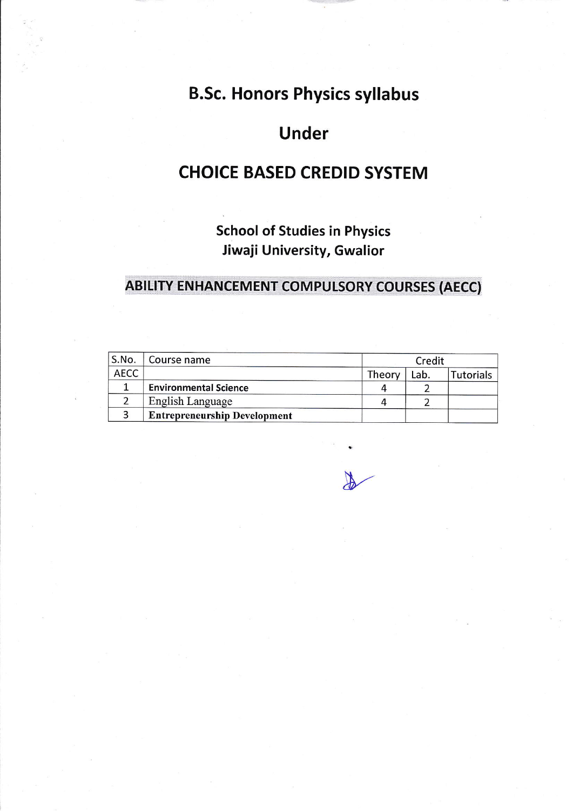# **B.Sc. Honors Physics syllabus**

# **Under**

# **CHOICE BASED CREDID SYSTEM**

**School of Studies in Physics** Jiwaji University, Gwalior

# **ABILITY ENHANCEMENT COMPULSORY COURSES (AECC)**

| S.No.       | Course name                         | Credit |      |           |
|-------------|-------------------------------------|--------|------|-----------|
| <b>AECC</b> |                                     | Theory | Lab. | Tutorials |
|             | <b>Environmental Science</b>        |        |      |           |
|             | English Language                    |        |      |           |
|             | <b>Entrepreneurship Development</b> |        |      |           |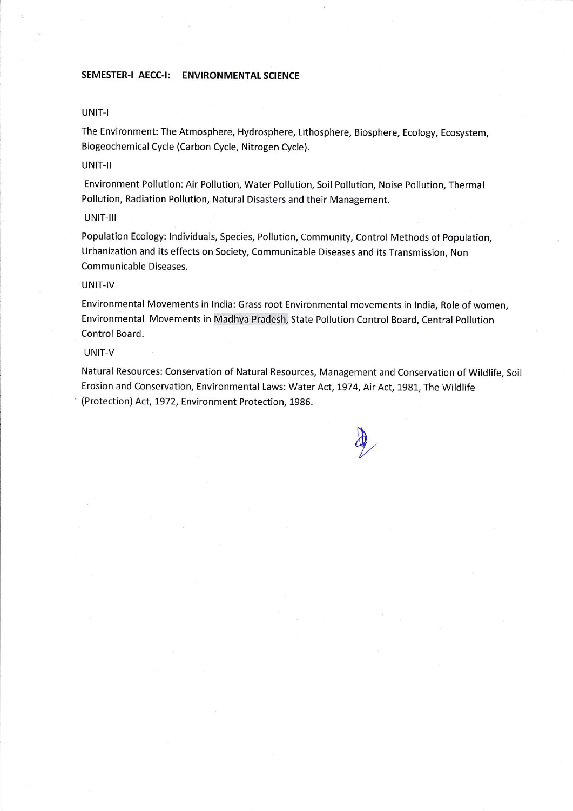# SEMESTER-I AECC-I: ENVIRONMENTAL SCIENCE

### UNIT-I

The Environment: The Atmosphere, Hydrosphere, Lithosphere, Biosphere, Ecology, Ecosystem, Biogeochemical Cycle (Carbon Cycle, Nitrogen Cycle).

# UNIT-II

Environment Pollution: Air Pollution, Water Pollution, Soil Pollution, Noise Pollution, Thermal Pollution, Radiation Pollution, Natural Disasters and their Management.

#### UNIT-III

Population Ecology: lndividuals, Species, Pollution, Community, Control Methods of Population, Urbanization and its effects on Society, Communicable Diseases and its Transmission, Non Communicable Diseases.

### UNIT-IV

Environmental Movements in lndia: Grass root Environmental movements in lndia, Role of women, Environmental Movements in Madhya Pradesh, State Pollution Control Board, Central Pollution Control Board.

#### UNIT-V

Natural Resources: Conservation of Natural Resources, Management and Conservation of Wildlife, Soil Erosion and Conservation, Environmental Laws: Water Act, 7974, Air Act,1981, The Wildlife ' (Protection) Act, 1972, Environment Protection, 1986.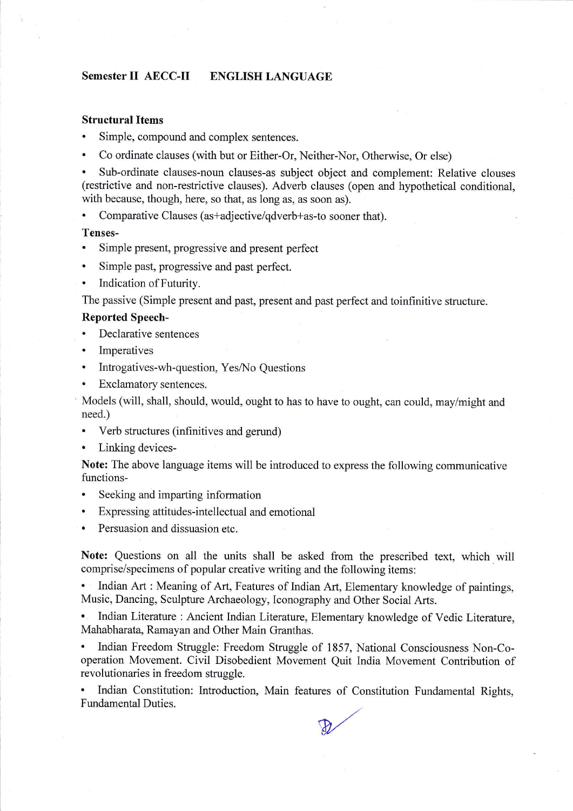# Semester II AECC-II ENGLISH LANGUAGE

# Structural Items

- . Simple, compound and complex sentences.
- . Co ordinate clauses (with but or Either-Or, Neither-Nor, Otherwise, Or else)

. Sub-ordinate clauses-noun clauses-as subject object and complement: Relative clouses (restrictive and non-restrictive clauses). Adverb clauses (open and hypothetical conditional, with because, though, here, so that, as long as, as soon as).

Comparative Clauses (as+adjective/qdverb+as-to sooner that).

# Tenses-

- . Simple present, progressive and present perfect
- . Simple past, progressive and past perfect.
- Indication of Futurity.

The passive (Simple present and past, present and past perfect and toinfinitive structure.

## Reported Speech-

- Declarative sentences
- . Imperatives
- Introgatives-wh-question, Yes/No Questions
- Exclamatory sentences.

' Models (will, shall, should, would, ought to has to have to ought, can could, may/might and need.)

- . Verb structures (infinitives and gerund)
- . Linking devices-

Note: The above language items will be introduced to express the following communicative functions-

- . Seeking and imparting information
- . Expressing attitudes-intellectual andemotional
- . Persuasion and dissuasion etc.

Note: Questions on all the units shall be asked from the prescribed text, which will comprise/specimens of popular creative writing and the following items:

. Indian Art : Meaning of Art, Features of Indian Art, Elementary knowledge of paintings, Music, Dancing, Sculpture Archaeology, Iconography and Other Social Arts.

. Indian Literature : Ancient Indian Literature, Elementary knowledge of Vedic Literature, Mahabharata, Ramayan and Other Main Granthas.

. Indian Freedom Struggle: Freedom Struggle of 1857, National Consciousness Non-Cooperation Movement. Civil Disobedient Movement Quit India Movement Contribution of revolutionaries in freedom struggle.

. Indian Constitution: Introduction, Main features of Constitution Fundamental Rights, Fundamental Duties.